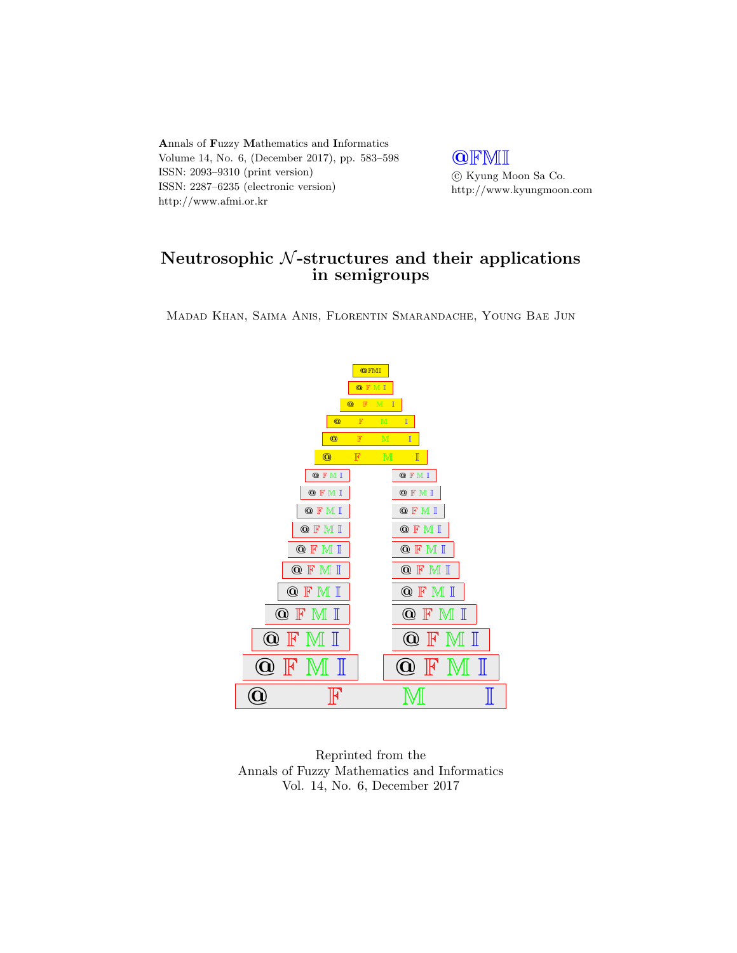Annals of Fuzzy Mathematics and Informatics Volume 14, No. 6, (December 2017), pp. 583–598 ISSN: 2093–9310 (print version) ISSN: 2287–6235 (electronic version) http://www.afmi.or.kr

**QFMI**  $\odot$ Kyung Moon Sa Co. http://www.kyungmoon.com

# Neutrosophic  $N$ -structures and their applications in semigroups

Madad Khan, Saima Anis, Florentin Smarandache, Young Bae Jun



Reprinted from the Annals of Fuzzy Mathematics and Informatics Vol. 14, No. 6, December 2017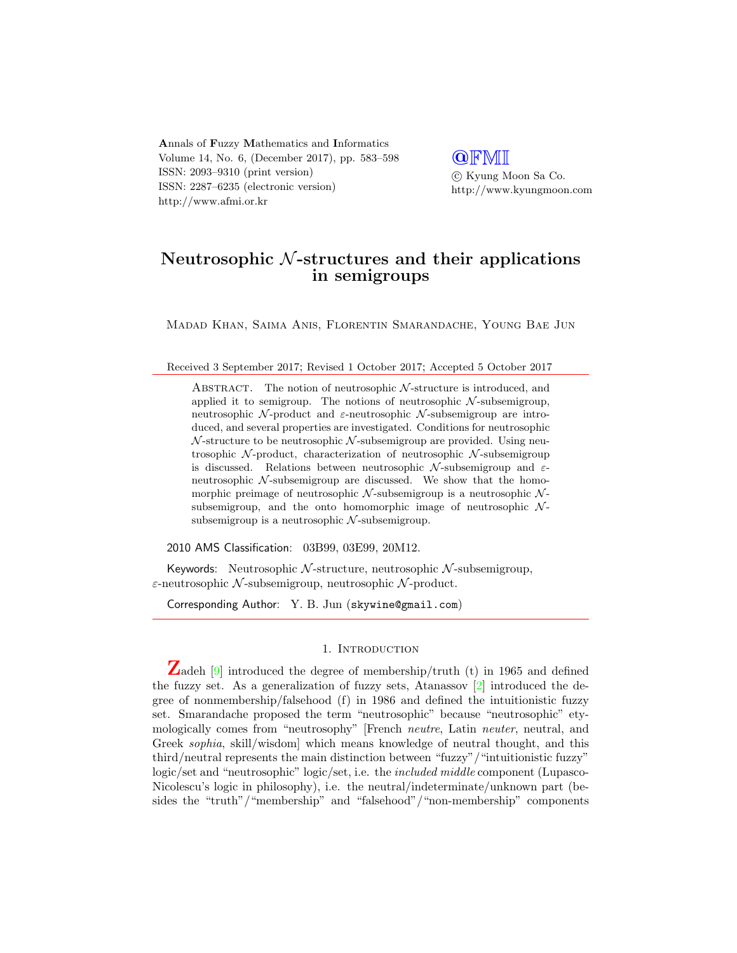Annals of Fuzzy Mathematics and Informatics Volume 14, No. 6, (December 2017), pp. 583–598 ISSN: 2093–9310 (print version) ISSN: 2287–6235 (electronic version) http://www.afmi.or.kr

**QFMI**  c Kyung Moon Sa Co. http://www.kyungmoon.com

## Neutrosophic  $N$ -structures and their applications in semigroups

Madad Khan, Saima Anis, Florentin Smarandache, Young Bae Jun

#### Received 3 September 2017; Revised 1 October 2017; Accepted 5 October 2017

ABSTRACT. The notion of neutrosophic  $N$ -structure is introduced, and applied it to semigroup. The notions of neutrosophic  $N$ -subsemigroup, neutrosophic  $\mathcal{N}$ -product and  $\varepsilon$ -neutrosophic  $\mathcal{N}$ -subsemigroup are introduced, and several properties are investigated. Conditions for neutrosophic  $\mathcal N$ -structure to be neutrosophic  $\mathcal N$ -subsemigroup are provided. Using neutrosophic  $\mathcal{N}$ -product, characterization of neutrosophic  $\mathcal{N}$ -subsemigroup is discussed. Relations between neutrosophic  $\mathcal{N}$ -subsemigroup and  $\varepsilon$ neutrosophic  $N$ -subsemigroup are discussed. We show that the homomorphic preimage of neutrosophic  $N$ -subsemigroup is a neutrosophic  $N$ subsemigroup, and the onto homomorphic image of neutrosophic  $N$ subsemigroup is a neutrosophic  $N$ -subsemigroup.

2010 AMS Classification: 03B99, 03E99, 20M12.

Keywords: Neutrosophic  $N$ -structure, neutrosophic  $N$ -subsemigroup,  $\varepsilon$ -neutrosophic  $\mathcal N$ -subsemigroup, neutrosophic  $\mathcal N$ -product.

Corresponding Author: Y. B. Jun (skywine@gmail.com)

## 1. INTRODUCTION

Zadeh  $[9]$  introduced the degree of membership/truth (t) in 1965 and defined the fuzzy set. As a generalization of fuzzy sets, Atanassov [\[2\]](#page-15-0) introduced the degree of nonmembership/falsehood (f) in 1986 and defined the intuitionistic fuzzy set. Smarandache proposed the term "neutrosophic" because "neutrosophic" etymologically comes from "neutrosophy" [French neutre, Latin neuter, neutral, and Greek sophia, skill/wisdom] which means knowledge of neutral thought, and this third/neutral represents the main distinction between "fuzzy"/"intuitionistic fuzzy" logic/set and "neutrosophic" logic/set, i.e. the *included middle* component (Lupasco-Nicolescu's logic in philosophy), i.e. the neutral/indeterminate/unknown part (besides the "truth"/"membership" and "falsehood"/"non-membership" components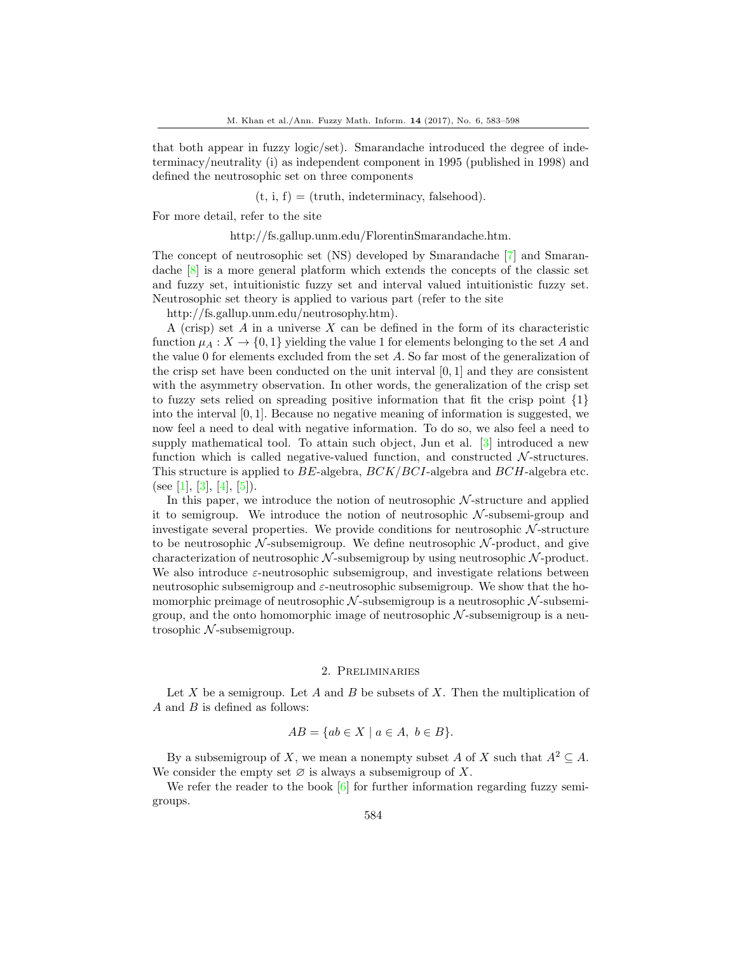that both appear in fuzzy logic/set). Smarandache introduced the degree of indeterminacy/neutrality (i) as independent component in 1995 (published in 1998) and defined the neutrosophic set on three components

 $(t, i, f) = (truth, indeterminacy, falsehood).$ 

For more detail, refer to the site

http://fs.gallup.unm.edu/FlorentinSmarandache.htm.

The concept of neutrosophic set (NS) developed by Smarandache [\[7\]](#page-16-1) and Smarandache [\[8\]](#page-16-2) is a more general platform which extends the concepts of the classic set and fuzzy set, intuitionistic fuzzy set and interval valued intuitionistic fuzzy set. Neutrosophic set theory is applied to various part (refer to the site

http://fs.gallup.unm.edu/neutrosophy.htm).

A (crisp) set  $A$  in a universe  $X$  can be defined in the form of its characteristic function  $\mu_A : X \to \{0,1\}$  yielding the value 1 for elements belonging to the set A and the value 0 for elements excluded from the set A. So far most of the generalization of the crisp set have been conducted on the unit interval  $[0, 1]$  and they are consistent with the asymmetry observation. In other words, the generalization of the crisp set to fuzzy sets relied on spreading positive information that fit the crisp point  $\{1\}$ into the interval  $[0, 1]$ . Because no negative meaning of information is suggested, we now feel a need to deal with negative information. To do so, we also feel a need to supply mathematical tool. To attain such object, Jun et al. [\[3\]](#page-16-3) introduced a new function which is called negative-valued function, and constructed  $\mathcal{N}$ -structures. This structure is applied to  $BE$ -algebra,  $BCK/BCI$ -algebra and  $BCH$ -algebra etc. (see [\[1\]](#page-15-1), [\[3\]](#page-16-3), [\[4\]](#page-16-4), [\[5\]](#page-16-5)).

In this paper, we introduce the notion of neutrosophic  $N$ -structure and applied it to semigroup. We introduce the notion of neutrosophic  $N$ -subsemi-group and investigate several properties. We provide conditions for neutrosophic  $N$ -structure to be neutrosophic  $\mathcal N$ -subsemigroup. We define neutrosophic  $\mathcal N$ -product, and give characterization of neutrosophic  $\mathcal{N}$ -subsemigroup by using neutrosophic  $\mathcal{N}$ -product. We also introduce  $\varepsilon$ -neutrosophic subsemigroup, and investigate relations between neutrosophic subsemigroup and  $\varepsilon$ -neutrosophic subsemigroup. We show that the homomorphic preimage of neutrosophic  $N$ -subsemigroup is a neutrosophic  $N$ -subsemigroup, and the onto homomorphic image of neutrosophic  $N$ -subsemigroup is a neutrosophic  $N$ -subsemigroup.

## 2. Preliminaries

Let X be a semigroup. Let A and B be subsets of X. Then the multiplication of  $A$  and  $B$  is defined as follows:

$$
AB = \{ ab \in X \mid a \in A, b \in B \}.
$$

By a subsemigroup of X, we mean a nonempty subset A of X such that  $A^2 \subseteq A$ . We consider the empty set  $\varnothing$  is always a subsemigroup of X.

We refer the reader to the book  $[6]$  for further information regarding fuzzy semigroups.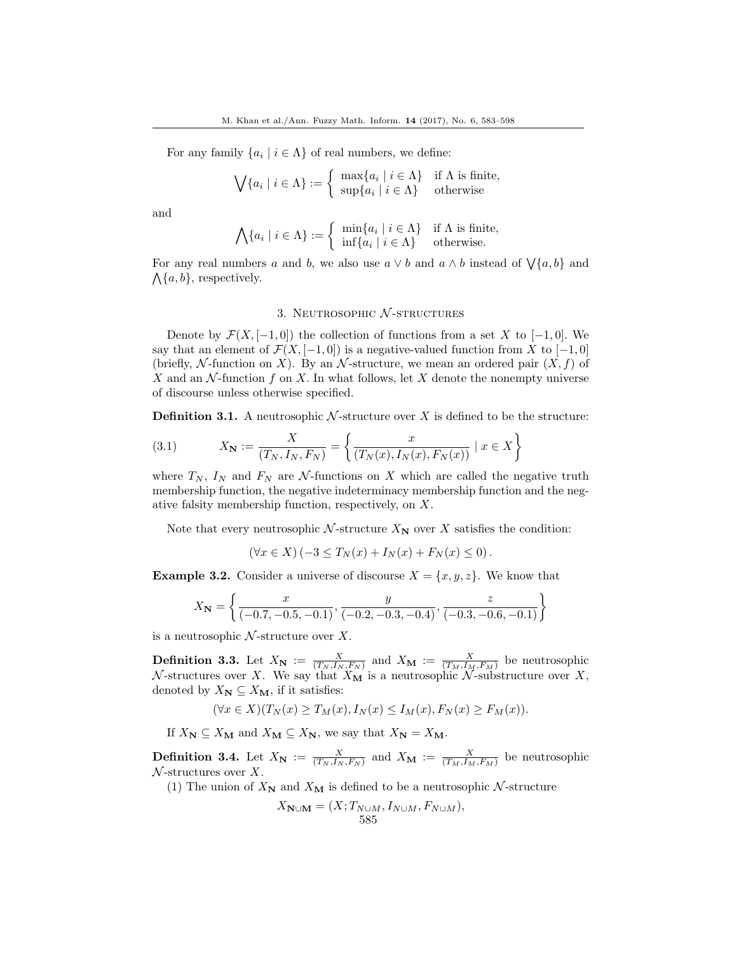For any family  $\{a_i \mid i \in \Lambda\}$  of real numbers, we define:

$$
\bigvee \{a_i \mid i \in \Lambda\} := \left\{ \begin{array}{ll} \max \{a_i \mid i \in \Lambda\} & \text{if } \Lambda \text{ is finite,} \\ \sup \{a_i \mid i \in \Lambda\} & \text{otherwise} \end{array} \right.
$$

and

$$
\bigwedge \{a_i \mid i \in \Lambda\} := \left\{ \begin{array}{ll} \min \{a_i \mid i \in \Lambda\} & \text{if } \Lambda \text{ is finite,} \\ \inf \{a_i \mid i \in \Lambda\} & \text{otherwise.} \end{array} \right.
$$

For any real numbers a and b, we also use  $a \vee b$  and  $a \wedge b$  instead of  $\bigvee \{a, b\}$  and  $\Lambda$ {a, b}, respectively.

## 3. NEUTROSOPHIC  $N$ -STRUCTURES

Denote by  $\mathcal{F}(X, [-1, 0])$  the collection of functions from a set X to  $[-1, 0]$ . We say that an element of  $\mathcal{F}(X, [-1, 0])$  is a negative-valued function from X to  $[-1, 0]$ (briefly, N-function on X). By an N-structure, we mean an ordered pair  $(X, f)$  of X and an  $\mathcal N$ -function f on X. In what follows, let X denote the nonempty universe of discourse unless otherwise specified.

**Definition 3.1.** A neutrosophic  $N$ -structure over X is defined to be the structure:

(3.1) 
$$
X_{N} := \frac{X}{(T_{N}, I_{N}, F_{N})} = \left\{ \frac{x}{(T_{N}(x), I_{N}(x), F_{N}(x))} \mid x \in X \right\}
$$

where  $T_N$ ,  $I_N$  and  $F_N$  are  $\mathcal N$ -functions on X which are called the negative truth membership function, the negative indeterminacy membership function and the negative falsity membership function, respectively, on X.

Note that every neutrosophic  $\mathcal{N}$ -structure  $X_N$  over X satisfies the condition:

$$
(\forall x \in X) \left(-3 \le T_N(x) + I_N(x) + F_N(x) \le 0\right).
$$

<span id="page-3-0"></span>**Example 3.2.** Consider a universe of discourse  $X = \{x, y, z\}$ . We know that

$$
X_{\mathbf{N}} = \left\{ \frac{x}{(-0.7, -0.5, -0.1)}, \frac{y}{(-0.2, -0.3, -0.4)}, \frac{z}{(-0.3, -0.6, -0.1)} \right\}
$$

is a neutrosophic  $N$ -structure over X.

**Definition 3.3.** Let  $X_N := \frac{X}{(T_N, I_N, F_N)}$  and  $X_M := \frac{X}{(T_M, I_M, F_M)}$  be neutrosophic N-structures over X. We say that  $X_{\mathbf{M}}$  is a neutrosophic N-substructure over X, denoted by  $X_{\mathbf{N}} \subseteq X_{\mathbf{M}}$ , if it satisfies:

$$
(\forall x \in X)(T_N(x) \ge T_M(x), I_N(x) \le I_M(x), F_N(x) \ge F_M(x)).
$$

If  $X_{\mathbf{N}} \subseteq X_{\mathbf{M}}$  and  $X_{\mathbf{M}} \subseteq X_{\mathbf{N}}$ , we say that  $X_{\mathbf{N}} = X_{\mathbf{M}}$ .

**Definition 3.4.** Let  $X_N := \frac{X}{(T_N, I_N, F_N)}$  and  $X_M := \frac{X}{(T_M, I_M, F_M)}$  be neutrosophic  $\mathcal N$ -structures over X.

(1) The union of  $X_N$  and  $X_M$  is defined to be a neutrosophic N-structure

$$
X_{\mathbf{N}\cup\mathbf{M}} = (X; T_{N\cup M}, I_{N\cup M}, F_{N\cup M}),
$$
  
585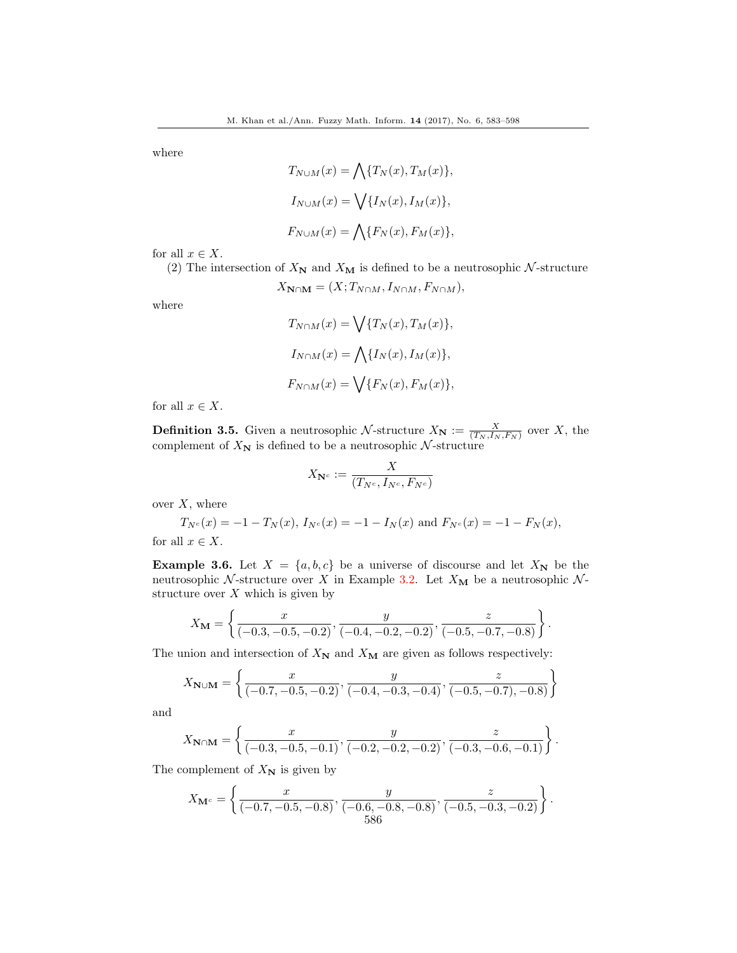where

$$
T_{N \cup M}(x) = \bigwedge \{T_N(x), T_M(x)\},
$$
  
\n
$$
I_{N \cup M}(x) = \bigvee \{I_N(x), I_M(x)\},
$$
  
\n
$$
F_{N \cup M}(x) = \bigwedge \{F_N(x), F_M(x)\},
$$

for all  $x \in X$ .

(2) The intersection of  $X_N$  and  $X_M$  is defined to be a neutrosophic  $\mathcal N$ -structure

$$
X_{\mathbf{N}\cap\mathbf{M}}=(X;T_{N\cap M},I_{N\cap M},F_{N\cap M}),
$$

where

$$
T_{N\cap M}(x) = \bigvee \{T_N(x), T_M(x)\},
$$
  
\n
$$
I_{N\cap M}(x) = \bigwedge \{I_N(x), I_M(x)\},
$$
  
\n
$$
F_{N\cap M}(x) = \bigvee \{F_N(x), F_M(x)\},
$$

for all  $x \in X$ .

**Definition 3.5.** Given a neutrosophic N-structure  $X_N := \frac{X}{(T_N, I_N, F_N)}$  over X, the complement of  $X_N$  is defined to be a neutrosophic N-structure

$$
X_{\mathbf{N}^c}:=\frac{X}{(T_{N^c},I_{N^c},F_{N^c})}
$$

over  $X$ , where

$$
T_{N^c}(x) = -1 - T_N(x), I_{N^c}(x) = -1 - I_N(x) \text{ and } F_{N^c}(x) = -1 - F_N(x),
$$

for all  $x \in X$ .

**Example 3.6.** Let  $X = \{a, b, c\}$  be a universe of discourse and let  $X_N$  be the neutrosophic  $\mathcal{N}$ -structure over X in Example [3.2.](#page-3-0) Let  $X_{\mathbf{M}}$  be a neutrosophic  $\mathcal{N}$ structure over  $X$  which is given by

$$
X_{\mathbf{M}} = \left\{ \frac{x}{(-0.3, -0.5, -0.2)}, \frac{y}{(-0.4, -0.2, -0.2)}, \frac{z}{(-0.5, -0.7, -0.8)} \right\}.
$$

The union and intersection of  $X_N$  and  $X_M$  are given as follows respectively:

$$
X_{\mathbf{N}\cup\mathbf{M}} = \left\{ \frac{x}{(-0.7, -0.5, -0.2)}, \frac{y}{(-0.4, -0.3, -0.4)}, \frac{z}{(-0.5, -0.7), -0.8} \right\}
$$

and

$$
X_{\mathbf{N}\cap\mathbf{M}} = \left\{ \frac{x}{(-0.3, -0.5, -0.1)}, \frac{y}{(-0.2, -0.2, -0.2)}, \frac{z}{(-0.3, -0.6, -0.1)} \right\}.
$$

The complement of  $X_N$  is given by

$$
X_{\mathbf{M}^c} = \left\{ \frac{x}{(-0.7, -0.5, -0.8)}, \frac{y}{(-0.6, -0.8, -0.8)}, \frac{z}{(-0.5, -0.3, -0.2)} \right\}.
$$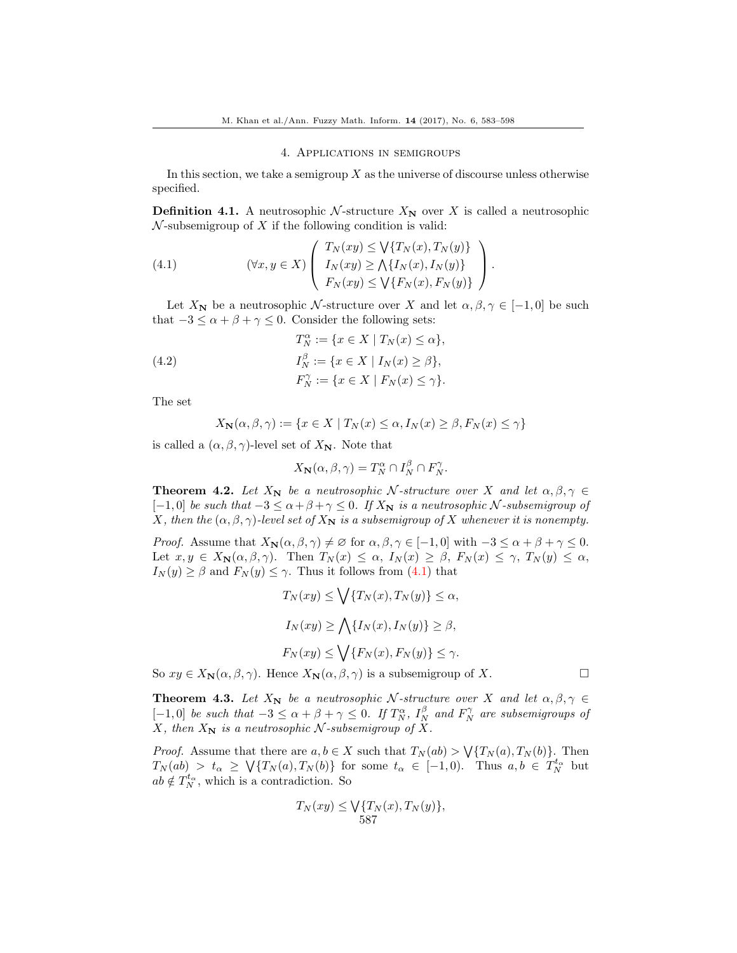## 4. Applications in semigroups

In this section, we take a semigroup  $X$  as the universe of discourse unless otherwise specified.

**Definition 4.1.** A neutrosophic N-structure  $X_N$  over X is called a neutrosophic  $\mathcal N$ -subsemigroup of X if the following condition is valid:

<span id="page-5-0"></span>(4.1) 
$$
(\forall x, y \in X) \left( \begin{array}{c} T_N(xy) \leq \bigvee \{T_N(x), T_N(y)\} \\ I_N(xy) \geq \bigwedge \{I_N(x), I_N(y)\} \\ F_N(xy) \leq \bigvee \{F_N(x), F_N(y)\} \end{array} \right).
$$

Let  $X_N$  be a neutrosophic N-structure over X and let  $\alpha, \beta, \gamma \in [-1, 0]$  be such that  $-3 \le \alpha + \beta + \gamma \le 0$ . Consider the following sets:

(4.2) 
$$
T_N^{\alpha} := \{ x \in X \mid T_N(x) \le \alpha \},
$$

$$
I_N^{\beta} := \{ x \in X \mid I_N(x) \ge \beta \},
$$

$$
F_N^{\gamma} := \{ x \in X \mid F_N(x) \le \gamma \}.
$$

The set

$$
X_{\mathbf{N}}(\alpha, \beta, \gamma) := \{ x \in X \mid T_N(x) \le \alpha, I_N(x) \ge \beta, F_N(x) \le \gamma \}
$$

is called a  $(\alpha, \beta, \gamma)$ -level set of  $X_N$ . Note that

$$
X_{\mathbf{N}}(\alpha, \beta, \gamma) = T_N^{\alpha} \cap I_N^{\beta} \cap F_N^{\gamma}.
$$

**Theorem 4.2.** Let  $X_N$  be a neutrosophic N-structure over X and let  $\alpha, \beta, \gamma \in$  $[-1, 0]$  be such that  $-3 \le \alpha + \beta + \gamma \le 0$ . If  $X_N$  is a neutrosophic N-subsemigroup of X, then the  $(\alpha, \beta, \gamma)$ -level set of  $X_N$  is a subsemigroup of X whenever it is nonempty.

*Proof.* Assume that  $X_{\mathbf{N}}(\alpha, \beta, \gamma) \neq \emptyset$  for  $\alpha, \beta, \gamma \in [-1, 0]$  with  $-3 \leq \alpha + \beta + \gamma \leq 0$ . Let  $x, y \in X_{\mathbf{N}}(\alpha, \beta, \gamma)$ . Then  $T_N(x) \leq \alpha$ ,  $I_N(x) \geq \beta$ ,  $F_N(x) \leq \gamma$ ,  $T_N(y) \leq \alpha$ ,  $I_N(y) \geq \beta$  and  $F_N(y) \leq \gamma$ . Thus it follows from [\(4.1\)](#page-5-0) that

$$
T_N(xy) \le \bigvee \{T_N(x), T_N(y)\} \le \alpha,
$$
  
\n
$$
I_N(xy) \ge \bigwedge \{I_N(x), I_N(y)\} \ge \beta,
$$
  
\n
$$
F_N(xy) \le \bigvee \{F_N(x), F_N(y)\} \le \gamma.
$$

So  $xy \in X_{\mathbf{N}}(\alpha, \beta, \gamma)$ . Hence  $X_{\mathbf{N}}(\alpha, \beta, \gamma)$  is a subsemigroup of X.

**Theorem 4.3.** Let  $X_N$  be a neutrosophic N-structure over X and let  $\alpha, \beta, \gamma \in$ [-1,0] be such that  $-3 \le \alpha + \beta + \gamma \le 0$ . If  $T_N^{\alpha}$ ,  $I_N^{\beta}$  and  $F_N^{\gamma}$  are subsemigroups of X, then  $X_N$  is a neutrosophic N-subsemigroup of X.

*Proof.* Assume that there are  $a, b \in X$  such that  $T_N(ab) > \sqrt{\{T_N(a), T_N(b)\}}$ . Then  $T_N(ab) > t_\alpha \geq \sqrt{\{T_N(a), T_N(b)\}}$  for some  $t_\alpha \in [-1, 0)$ . Thus  $a, b \in T_N^{t_\alpha}$  but  $ab \notin T_N^{t_\alpha}$ , which is a contradiction. So

$$
T_N(xy) \le \bigvee \{T_N(x), T_N(y)\},
$$
  
587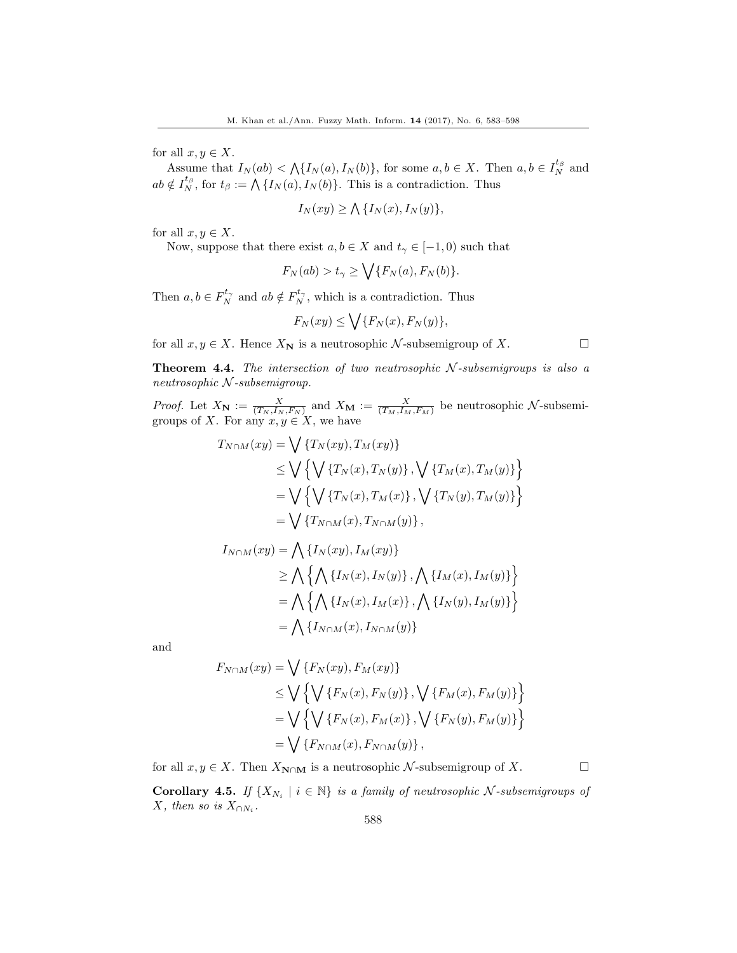for all  $x, y \in X$ .

Assume that  $I_N(ab) < \bigwedge \{I_N(a), I_N(b)\}\$ , for some  $a, b \in X$ . Then  $a, b \in I_N^{t_\beta}$  and  $ab \notin I_N^{t_\beta}$ , for  $t_\beta := \bigwedge \{I_N(a), I_N(b)\}.$  This is a contradiction. Thus

$$
I_N(xy) \ge \bigwedge \{I_N(x), I_N(y)\},\
$$

for all  $x, y \in X$ .

Now, suppose that there exist  $a, b \in X$  and  $t_{\gamma} \in [-1, 0)$  such that

$$
F_N(ab) > t_\gamma \ge \bigvee \{F_N(a), F_N(b)\}.
$$

Then  $a, b \in F_N^{t_\gamma}$  and  $ab \notin F_N^{t_\gamma}$ , which is a contradiction. Thus

$$
F_N(xy) \le \bigvee \{F_N(x), F_N(y)\},\
$$

for all  $x, y \in X$ . Hence  $X_N$  is a neutrosophic N-subsemigroup of X.

**Theorem 4.4.** The intersection of two neutrosophic  $N$ -subsemigroups is also a neutrosophic  $N$ -subsemigroup.

*Proof.* Let  $X_N := \frac{X}{(T_N, I_N, F_N)}$  and  $X_M := \frac{X}{(T_M, I_M, F_M)}$  be neutrosophic N-subsemigroups of X. For any  $x, y \in X$ , we have

$$
T_{N\cap M}(xy) = \bigvee \{T_N(xy), T_M(xy)\}
$$
  
\n
$$
\leq \bigvee \left\{ \bigvee \{T_N(x), T_N(y)\}, \bigvee \{T_M(x), T_M(y)\} \right\}
$$
  
\n
$$
= \bigvee \left\{ \bigvee \{T_N(x), T_M(x)\}, \bigvee \{T_N(y), T_M(y)\} \right\}
$$
  
\n
$$
= \bigvee \{T_{N\cap M}(x), T_{N\cap M}(y)\},
$$

$$
I_{N\cap M}(xy) = \bigwedge \{I_N(xy), I_M(xy)\}
$$
  
\n
$$
\geq \bigwedge \{ \bigwedge \{I_N(x), I_N(y)\}, \bigwedge \{I_M(x), I_M(y)\} \}
$$
  
\n
$$
= \bigwedge \{ \bigwedge \{I_N(x), I_M(x)\}, \bigwedge \{I_N(y), I_M(y)\} \}
$$
  
\n
$$
= \bigwedge \{I_{N\cap M}(x), I_{N\cap M}(y)\}
$$

and

$$
F_{N \cap M}(xy) = \bigvee \{F_N(xy), F_M(xy)\}
$$
  
\n
$$
\leq \bigvee \{ \bigvee \{F_N(x), F_N(y)\}, \bigvee \{F_M(x), F_M(y)\} \}
$$
  
\n
$$
= \bigvee \{ \bigvee \{F_N(x), F_M(x)\}, \bigvee \{F_N(y), F_M(y)\} \}
$$
  
\n
$$
= \bigvee \{F_{N \cap M}(x), F_{N \cap M}(y)\},
$$

for all  $x, y \in X$ . Then  $X_{\mathbb{N} \cap \mathbb{M}}$  is a neutrosophic  $\mathcal{N}$ -subsemigroup of X.

**Corollary 4.5.** If  $\{X_{N_i} \mid i \in \mathbb{N}\}\$ is a family of neutrosophic N-subsemigroups of X, then so is  $X_{\cap N_i}$ .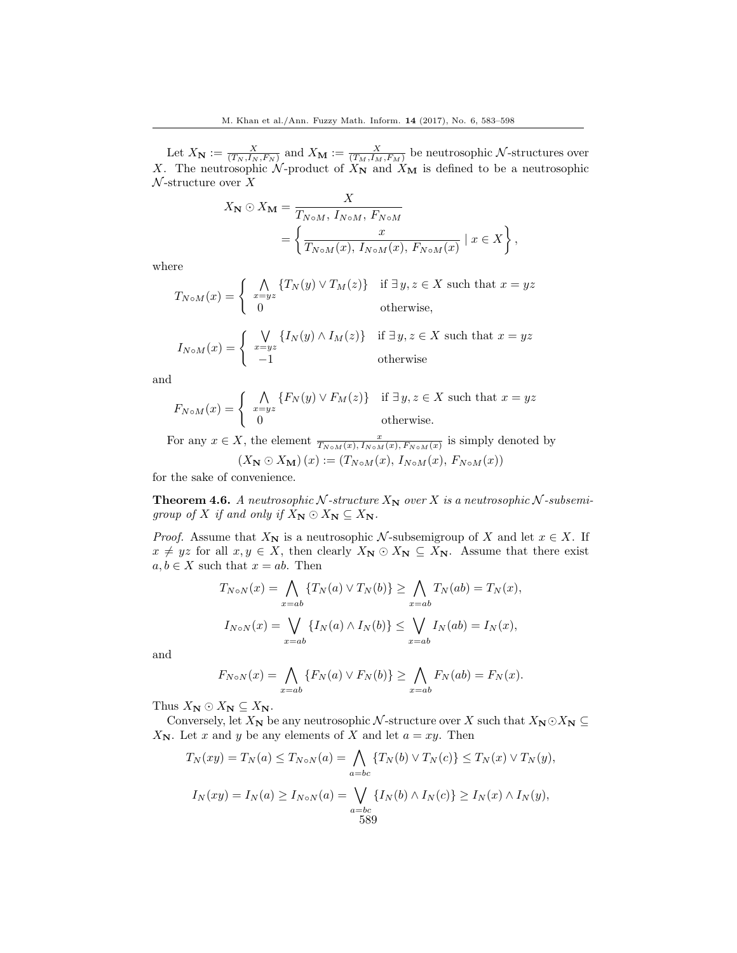Let  $X_N := \frac{X}{(T_N, I_N, F_N)}$  and  $X_M := \frac{X}{(T_M, I_M, F_M)}$  be neutrosophic  $N$ -structures over X. The neutrosophic N-product of  $X_N$  and  $X_M$  is defined to be a neutrosophic  $\mathcal N$ -structure over X

$$
X_{\mathbf{N}} \odot X_{\mathbf{M}} = \frac{X}{T_{N \circ M}, I_{N \circ M}, F_{N \circ M}}
$$
  
= 
$$
\left\{ \frac{x}{T_{N \circ M}(x), I_{N \circ M}(x), F_{N \circ M}(x)} \mid x \in X \right\},
$$

where

$$
T_{N \circ M}(x) = \begin{cases} \bigwedge_{x=yz} \{T_N(y) \vee T_M(z)\} & \text{if } \exists y, z \in X \text{ such that } x = yz\\ 0 & \text{otherwise,} \end{cases}
$$

$$
I_{N \circ M}(x) = \begin{cases} \sqrt{\sqrt{I_N(y) \wedge I_M(z)}} & \text{if } \exists y, z \in X \text{ such that } x = yz \\ -1 & \text{otherwise} \end{cases}
$$

and

$$
F_{N \circ M}(x) = \begin{cases} \bigwedge_{x=yz} \{ F_N(y) \lor F_M(z) \} & \text{if } \exists y, z \in X \text{ such that } x = yz \\ 0 & \text{otherwise.} \end{cases}
$$

For any  $x \in X$ , the element  $\frac{x}{T_{N \circ M}(x), T_{N \circ M}(x), F_{N \circ M}(x)}$  is simply denoted by  $(X_N \odot X_M)(x) := (T_{N \circ M}(x), I_{N \circ M}(x), F_{N \circ M}(x))$ 

for the sake of convenience.

<span id="page-7-0"></span>**Theorem 4.6.** A neutrosophic N-structure  $X_N$  over X is a neutrosophic N-subsemigroup of X if and only if  $X_{\mathbf{N}} \odot X_{\mathbf{N}} \subseteq X_{\mathbf{N}}$ .

*Proof.* Assume that  $X_N$  is a neutrosophic N-subsemigroup of X and let  $x \in X$ . If  $x \neq yz$  for all  $x, y \in X$ , then clearly  $X_{N} \odot X_{N} \subseteq X_{N}$ . Assume that there exist  $a, b \in X$  such that  $x = ab$ . Then

$$
T_{N \circ N}(x) = \bigwedge_{x=ab} \{T_N(a) \lor T_N(b)\} \ge \bigwedge_{x=ab} T_N(ab) = T_N(x),
$$
  

$$
I_{N \circ N}(x) = \bigvee_{x=ab} \{I_N(a) \land I_N(b)\} \le \bigvee_{x=ab} I_N(ab) = I_N(x),
$$

and

$$
F_{N\circ N}(x) = \bigwedge_{x=ab} \{F_N(a) \vee F_N(b)\} \ge \bigwedge_{x=ab} F_N(ab) = F_N(x).
$$

Thus  $X_{\mathbf{N}} \odot X_{\mathbf{N}} \subseteq X_{\mathbf{N}}$ .

Conversely, let  $X_N$  be any neutrosophic N-structure over X such that  $X_N \odot X_N \subseteq$  $X_N$ . Let x and y be any elements of X and let  $a = xy$ . Then

$$
T_N(xy) = T_N(a) \le T_{N \circ N}(a) = \bigwedge_{a=bc} \{T_N(b) \lor T_N(c)\} \le T_N(x) \lor T_N(y),
$$
  

$$
I_N(xy) = I_N(a) \ge I_{N \circ N}(a) = \bigvee_{\substack{a=bc\\589}} \{I_N(b) \land I_N(c)\} \ge I_N(x) \land I_N(y),
$$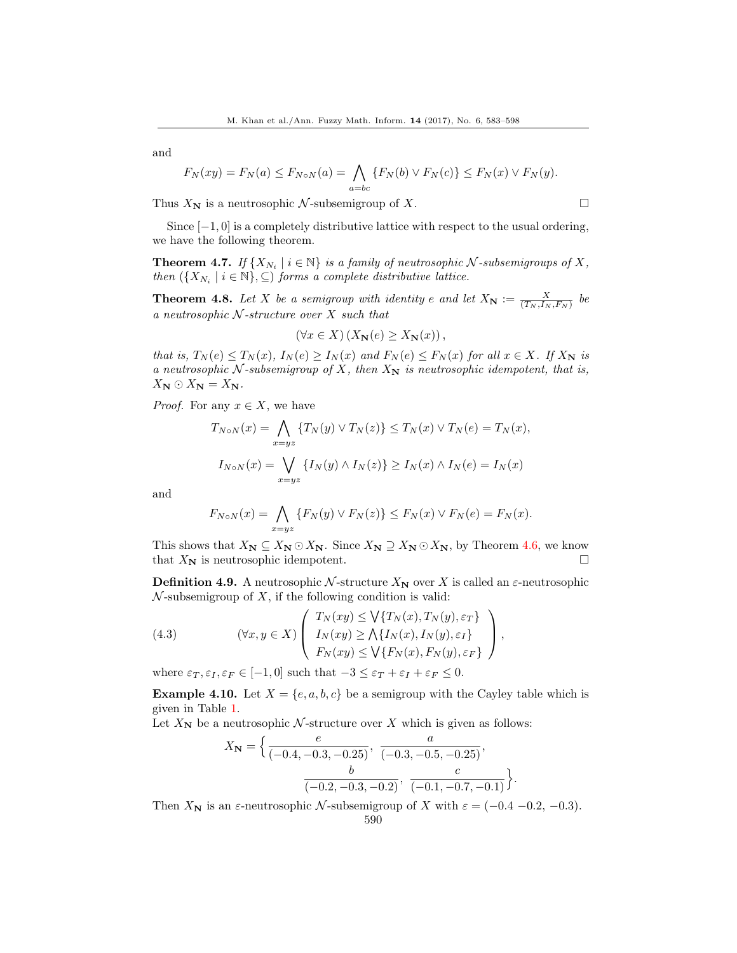$$
F_N(xy) = F_N(a) \le F_{N \circ N}(a) = \bigwedge_{a=bc} \{ F_N(b) \vee F_N(c) \} \le F_N(x) \vee F_N(y).
$$

Thus  $X_N$  is a neutrosophic  $\mathcal N$ -subsemigroup of X.

Since  $[-1, 0]$  is a completely distributive lattice with respect to the usual ordering, we have the following theorem.

**Theorem 4.7.** If  $\{X_{N_i} \mid i \in \mathbb{N}\}\$ is a family of neutrosophic  $N$ -subsemigroups of X, then  $({X_{N_i} \mid i \in \mathbb{N}}, \subseteq)$  forms a complete distributive lattice.

**Theorem 4.8.** Let X be a semigroup with identity e and let  $X_N := \frac{X}{(T_N, I_N, F_N)}$  be a neutrosophic  $N$ -structure over  $X$  such that

$$
(\forall x \in X) (X_{\mathbf{N}}(e) \ge X_{\mathbf{N}}(x)),
$$

that is,  $T_N(e) \le T_N(x)$ ,  $I_N(e) \ge I_N(x)$  and  $F_N(e) \le F_N(x)$  for all  $x \in X$ . If  $X_N$  is a neutrosophic  $N$ -subsemigroup of X, then  $X_N$  is neutrosophic idempotent, that is,  $X_{\mathbf{N}} \odot X_{\mathbf{N}} = X_{\mathbf{N}}.$ 

*Proof.* For any  $x \in X$ , we have

$$
T_{N \circ N}(x) = \bigwedge_{x = yz} \{T_N(y) \lor T_N(z)\} \le T_N(x) \lor T_N(e) = T_N(x),
$$
  

$$
I_{N \circ N}(x) = \bigvee_{x = yz} \{I_N(y) \land I_N(z)\} \ge I_N(x) \land I_N(e) = I_N(x)
$$

and

$$
F_{N \circ N}(x) = \bigwedge_{x = yz} \{ F_N(y) \lor F_N(z) \} \le F_N(x) \lor F_N(e) = F_N(x).
$$

This shows that  $X_N \subseteq X_N \odot X_N$ . Since  $X_N \supseteq X_N \odot X_N$ , by Theorem [4.6,](#page-7-0) we know that  $X_N$  is neutrosophic idempotent.

**Definition 4.9.** A neutrosophic N-structure  $X_N$  over X is called an  $\varepsilon$ -neutrosophic  $\mathcal N$ -subsemigroup of  $X$ , if the following condition is valid:

<span id="page-8-0"></span>(4.3) 
$$
(\forall x, y \in X) \left( \begin{array}{c} T_N(xy) \leq \bigvee \{T_N(x), T_N(y), \varepsilon_T\} \\ I_N(xy) \geq \bigwedge \{I_N(x), I_N(y), \varepsilon_I\} \\ F_N(xy) \leq \bigvee \{F_N(x), F_N(y), \varepsilon_F\} \end{array} \right),
$$

where  $\varepsilon_T, \varepsilon_I, \varepsilon_F \in [-1, 0]$  such that  $-3 \leq \varepsilon_T + \varepsilon_I + \varepsilon_F \leq 0$ .

**Example 4.10.** Let  $X = \{e, a, b, c\}$  be a semigroup with the Cayley table which is given in Table [1.](#page-9-0)

Let  $X_N$  be a neutrosophic N-structure over X which is given as follows:

$$
X_{\mathbf{N}} = \left\{ \frac{e}{(-0.4, -0.3, -0.25)}, \frac{a}{(-0.3, -0.5, -0.25)}, \frac{b}{(-0.2, -0.3, -0.2)}, \frac{c}{(-0.1, -0.7, -0.1)} \right\}.
$$

Then  $X_N$  is an  $\varepsilon$ -neutrosophic N-subsemigroup of X with  $\varepsilon = (-0.4 - 0.2, -0.3)$ .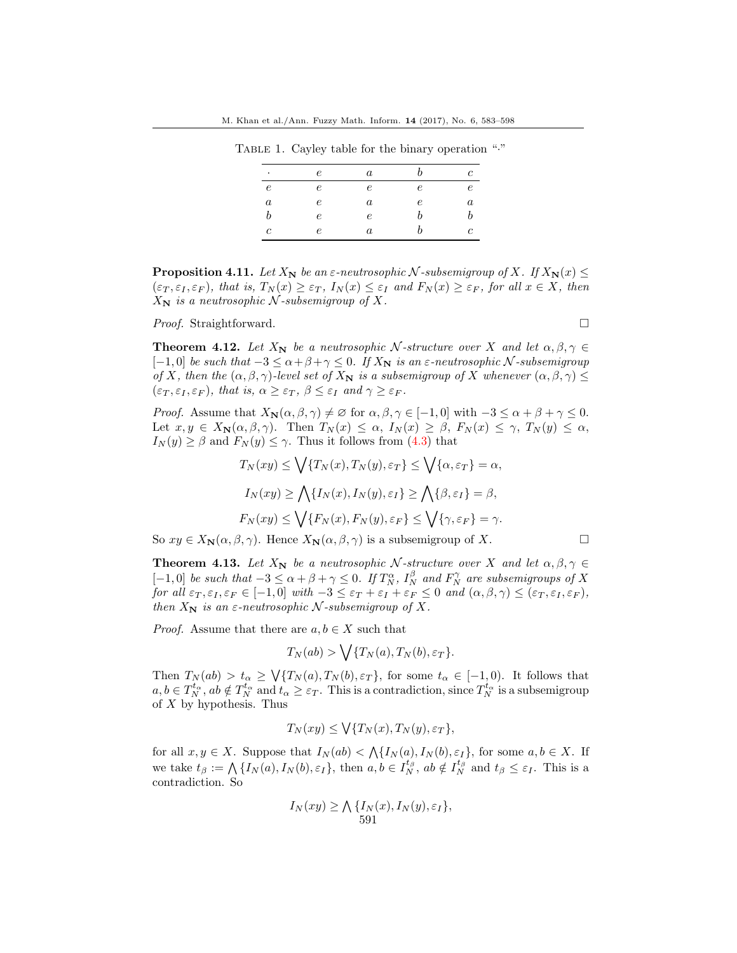TABLE 1. Cayley table for the binary operation "."

<span id="page-9-0"></span>

| $\bullet$        | $\epsilon$ | a                |            | Ċ          |
|------------------|------------|------------------|------------|------------|
| $\epsilon$       | $\epsilon$ | $\epsilon$       | $\epsilon$ | $\epsilon$ |
| $\boldsymbol{a}$ | $\epsilon$ | $\boldsymbol{a}$ | $\epsilon$ | $\it a$    |
| b                | $\epsilon$ | $\epsilon$       | b          |            |
| с                | e          | a                |            | c          |

**Proposition 4.11.** Let  $X_N$  be an  $\varepsilon$ -neutrosophic N-subsemigroup of X. If  $X_N(x) \leq$  $(\varepsilon_T, \varepsilon_I, \varepsilon_F)$ , that is,  $T_N(x) \geq \varepsilon_T$ ,  $I_N(x) \leq \varepsilon_I$  and  $F_N(x) \geq \varepsilon_F$ , for all  $x \in X$ , then  $X_N$  is a neutrosophic N-subsemigroup of X.

Proof. Straightforward. □

**Theorem 4.12.** Let  $X_N$  be a neutrosophic N-structure over X and let  $\alpha, \beta, \gamma \in$  $[-1, 0]$  be such that  $-3 \le \alpha + \beta + \gamma \le 0$ . If  $X_N$  is an  $\varepsilon$ -neutrosophic N-subsemigroup of X, then the  $(\alpha, \beta, \gamma)$ -level set of  $X_N$  is a subsemigroup of X whenever  $(\alpha, \beta, \gamma) \leq$  $(\varepsilon_T, \varepsilon_I, \varepsilon_F)$ , that is,  $\alpha \geq \varepsilon_T$ ,  $\beta \leq \varepsilon_I$  and  $\gamma \geq \varepsilon_F$ .

*Proof.* Assume that  $X_{\mathbf{N}}(\alpha, \beta, \gamma) \neq \emptyset$  for  $\alpha, \beta, \gamma \in [-1, 0]$  with  $-3 \leq \alpha + \beta + \gamma \leq 0$ . Let  $x, y \in X_{\mathbb{N}}(\alpha, \beta, \gamma)$ . Then  $T_N(x) \leq \alpha$ ,  $I_N(x) \geq \beta$ ,  $F_N(x) \leq \gamma$ ,  $T_N(y) \leq \alpha$ ,  $I_N(y) \geq \beta$  and  $F_N(y) \leq \gamma$ . Thus it follows from [\(4.3\)](#page-8-0) that

$$
T_N(xy) \le \bigvee \{T_N(x), T_N(y), \varepsilon_T\} \le \bigvee \{\alpha, \varepsilon_T\} = \alpha,
$$
  
\n
$$
I_N(xy) \ge \bigwedge \{I_N(x), I_N(y), \varepsilon_I\} \ge \bigwedge \{\beta, \varepsilon_I\} = \beta,
$$
  
\n
$$
F_N(xy) \le \bigvee \{F_N(x), F_N(y), \varepsilon_F\} \le \bigvee \{\gamma, \varepsilon_F\} = \gamma.
$$

So  $xy \in X_{\mathbf{N}}(\alpha, \beta, \gamma)$ . Hence  $X_{\mathbf{N}}(\alpha, \beta, \gamma)$  is a subsemigroup of X.

**Theorem 4.13.** Let  $X_N$  be a neutrosophic N-structure over X and let  $\alpha, \beta, \gamma \in$  $[-1,0]$  be such that  $-3 \le \alpha + \beta + \gamma \le 0$ . If  $T_N^{\alpha}$ ,  $I_N^{\beta}$  and  $F_N^{\gamma}$  are subsemigroups of X for all  $\varepsilon_T, \varepsilon_I, \varepsilon_F \in [-1, 0]$  with  $-3 \leq \varepsilon_T + \varepsilon_I + \varepsilon_F \leq 0$  and  $(\alpha, \beta, \gamma) \leq (\varepsilon_T, \varepsilon_I, \varepsilon_F)$ , then  $X_N$  is an  $\varepsilon$ -neutrosophic N-subsemigroup of X.

*Proof.* Assume that there are  $a, b \in X$  such that

$$
T_N(ab) > \bigvee \{T_N(a), T_N(b), \varepsilon_T\}.
$$

Then  $T_N(ab) > t_\alpha \geq \sqrt{\{T_N(a), T_N(b), \varepsilon_T\}}$ , for some  $t_\alpha \in [-1, 0)$ . It follows that  $a, b \in T_N^{t_\alpha}, ab \notin T_N^{t_\alpha}$  and  $t_\alpha \geq \varepsilon_T$ . This is a contradiction, since  $T_N^{t_\alpha}$  is a subsemigroup of  $X$  by hypothesis. Thus

$$
T_N(xy) \leq \bigvee \{T_N(x), T_N(y), \varepsilon_T\},
$$

for all  $x, y \in X$ . Suppose that  $I_N(ab) < \bigwedge \{I_N(a), I_N(b), \varepsilon_I\}$ , for some  $a, b \in X$ . If we take  $t_{\beta} := \bigwedge \{I_N(a), I_N(b), \varepsilon_I\},\$  then  $a, b \in I_N^{t_{\beta}}$ ,  $ab \notin I_N^{t_{\beta}}$  and  $t_{\beta} \leq \varepsilon_I$ . This is a contradiction. So

$$
I_N(xy) \ge \bigwedge \{I_N(x), I_N(y), \varepsilon_I\},
$$
  
591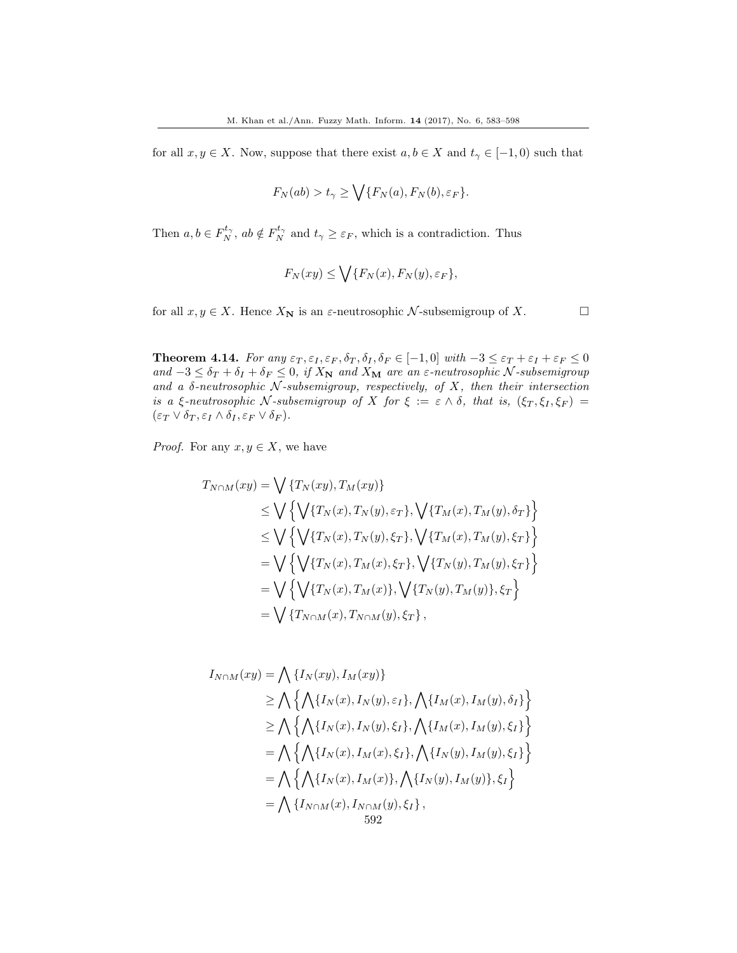for all  $x, y \in X$ . Now, suppose that there exist  $a, b \in X$  and  $t_{\gamma} \in [-1, 0)$  such that

$$
F_N(ab) > t_{\gamma} \ge \bigvee \{F_N(a), F_N(b), \varepsilon_F\}.
$$

Then  $a, b \in F_N^{t_\gamma}$ ,  $ab \notin F_N^{t_\gamma}$  and  $t_\gamma \geq \varepsilon_F$ , which is a contradiction. Thus

$$
F_N(xy) \le \bigvee \{F_N(x), F_N(y), \varepsilon_F\},
$$

for all  $x, y \in X$ . Hence  $X_N$  is an  $\varepsilon$ -neutrosophic  $\mathcal N$ -subsemigroup of X.

**Theorem 4.14.** For any  $\varepsilon_T$ ,  $\varepsilon_I$ ,  $\varepsilon_F$ ,  $\delta_T$ ,  $\delta_I$ ,  $\delta_F \in [-1,0]$  with  $-3 \leq \varepsilon_T + \varepsilon_I + \varepsilon_F \leq 0$ and  $-3 \leq \delta_T + \delta_I + \delta_F \leq 0$ , if  $X_N$  and  $X_M$  are an  $\varepsilon$ -neutrosophic N-subsemigroup and a  $\delta$ -neutrosophic N-subsemigroup, respectively, of X, then their intersection is a ξ-neutrosophic N-subsemigroup of X for  $\xi := \varepsilon \wedge \delta$ , that is,  $(\xi_T, \xi_I, \xi_F) =$  $(\varepsilon_T \vee \delta_T, \varepsilon_I \wedge \delta_I, \varepsilon_F \vee \delta_F).$ 

*Proof.* For any  $x, y \in X$ , we have

$$
T_{N\cap M}(xy) = \bigvee \{T_N(xy), T_M(xy)\}
$$
  
\n
$$
\leq \bigvee \left\{ \bigvee \{T_N(x), T_N(y), \varepsilon_T\}, \bigvee \{T_M(x), T_M(y), \delta_T\} \right\}
$$
  
\n
$$
\leq \bigvee \left\{ \bigvee \{T_N(x), T_N(y), \xi_T\}, \bigvee \{T_M(x), T_M(y), \xi_T\} \right\}
$$
  
\n
$$
= \bigvee \left\{ \bigvee \{T_N(x), T_M(x), \xi_T\}, \bigvee \{T_N(y), T_M(y), \xi_T\} \right\}
$$
  
\n
$$
= \bigvee \left\{ \bigvee \{T_N(x), T_M(x)\}, \bigvee \{T_N(y), T_M(y)\}, \xi_T \right\}
$$
  
\n
$$
= \bigvee \{T_{N\cap M}(x), T_{N\cap M}(y), \xi_T\},
$$

$$
I_{N\cap M}(xy) = \bigwedge \{I_N(xy), I_M(xy)\}
$$
  
\n
$$
\geq \bigwedge \{\bigwedge \{I_N(x), I_N(y), \varepsilon_I\}, \bigwedge \{I_M(x), I_M(y), \delta_I\}\}\
$$
  
\n
$$
\geq \bigwedge \{\bigwedge \{I_N(x), I_N(y), \xi_I\}, \bigwedge \{I_M(x), I_M(y), \xi_I\}\}\
$$
  
\n
$$
= \bigwedge \{\bigwedge \{I_N(x), I_M(x), \xi_I\}, \bigwedge \{I_N(y), I_M(y), \xi_I\}\}\
$$
  
\n
$$
= \bigwedge \{\bigwedge \{I_N(x), I_M(x)\}, \bigwedge \{I_N(y), I_M(y)\}, \xi_I\}\
$$
  
\n
$$
= \bigwedge \{I_{N\cap M}(x), I_{N\cap M}(y), \xi_I\},
$$
  
\n
$$
592
$$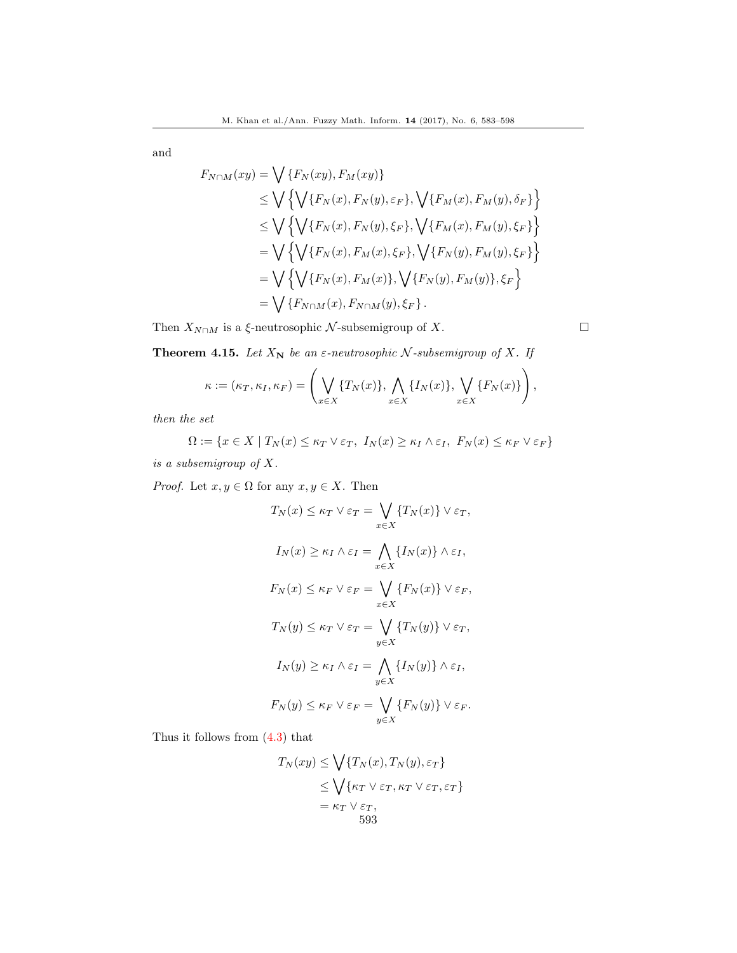$$
F_{N \cap M}(xy) = \bigvee \{F_N(xy), F_M(xy)\}
$$
  
\n
$$
\leq \bigvee \left\{ \bigvee \{F_N(x), F_N(y), \varepsilon_F\}, \bigvee \{F_M(x), F_M(y), \delta_F\} \right\}
$$
  
\n
$$
\leq \bigvee \left\{ \bigvee \{F_N(x), F_N(y), \xi_F\}, \bigvee \{F_M(x), F_M(y), \xi_F\} \right\}
$$
  
\n
$$
= \bigvee \left\{ \bigvee \{F_N(x), F_M(x), \xi_F\}, \bigvee \{F_N(y), F_M(y), \xi_F\} \right\}
$$
  
\n
$$
= \bigvee \left\{ \bigvee \{F_N(x), F_M(x)\}, \bigvee \{F_N(y), F_M(y)\}, \xi_F \right\}
$$
  
\n
$$
= \bigvee \{F_{N \cap M}(x), F_{N \cap M}(y), \xi_F\}.
$$

Then  $X_{N\cap M}$  is a  $\xi$ -neutrosophic  $\mathcal N$ -subsemigroup of X.

**Theorem 4.15.** Let  $X_N$  be an  $\varepsilon$ -neutrosophic  $N$ -subsemigroup of  $X$ . If

$$
\kappa := (\kappa_T, \kappa_I, \kappa_F) = \left( \bigvee_{x \in X} \{T_N(x)\}, \bigwedge_{x \in X} \{I_N(x)\}, \bigvee_{x \in X} \{F_N(x)\}\right),
$$

then the set

$$
\Omega := \{ x \in X \mid T_N(x) \le \kappa_T \vee \varepsilon_T, I_N(x) \ge \kappa_I \wedge \varepsilon_I, F_N(x) \le \kappa_F \vee \varepsilon_F \}
$$

is a subsemigroup of X.

*Proof.* Let  $x, y \in \Omega$  for any  $x, y \in X$ . Then

$$
T_N(x) \le \kappa_T \vee \varepsilon_T = \bigvee_{x \in X} \{T_N(x)\} \vee \varepsilon_T,
$$
  
\n
$$
I_N(x) \ge \kappa_I \wedge \varepsilon_I = \bigwedge_{x \in X} \{I_N(x)\} \wedge \varepsilon_I,
$$
  
\n
$$
F_N(x) \le \kappa_F \vee \varepsilon_F = \bigvee_{x \in X} \{F_N(x)\} \vee \varepsilon_F,
$$
  
\n
$$
T_N(y) \le \kappa_T \vee \varepsilon_T = \bigvee_{y \in X} \{T_N(y)\} \vee \varepsilon_T,
$$
  
\n
$$
I_N(y) \ge \kappa_I \wedge \varepsilon_I = \bigwedge_{y \in X} \{I_N(y)\} \wedge \varepsilon_I,
$$
  
\n
$$
F_N(y) \le \kappa_F \vee \varepsilon_F = \bigvee_{y \in X} \{F_N(y)\} \vee \varepsilon_F.
$$

Thus it follows from [\(4.3\)](#page-8-0) that

$$
T_N(xy) \le \bigvee \{T_N(x), T_N(y), \varepsilon_T\}
$$
  
\n
$$
\le \bigvee \{\kappa_T \vee \varepsilon_T, \kappa_T \vee \varepsilon_T, \varepsilon_T\}
$$
  
\n
$$
= \kappa_T \vee \varepsilon_T,
$$
  
\n593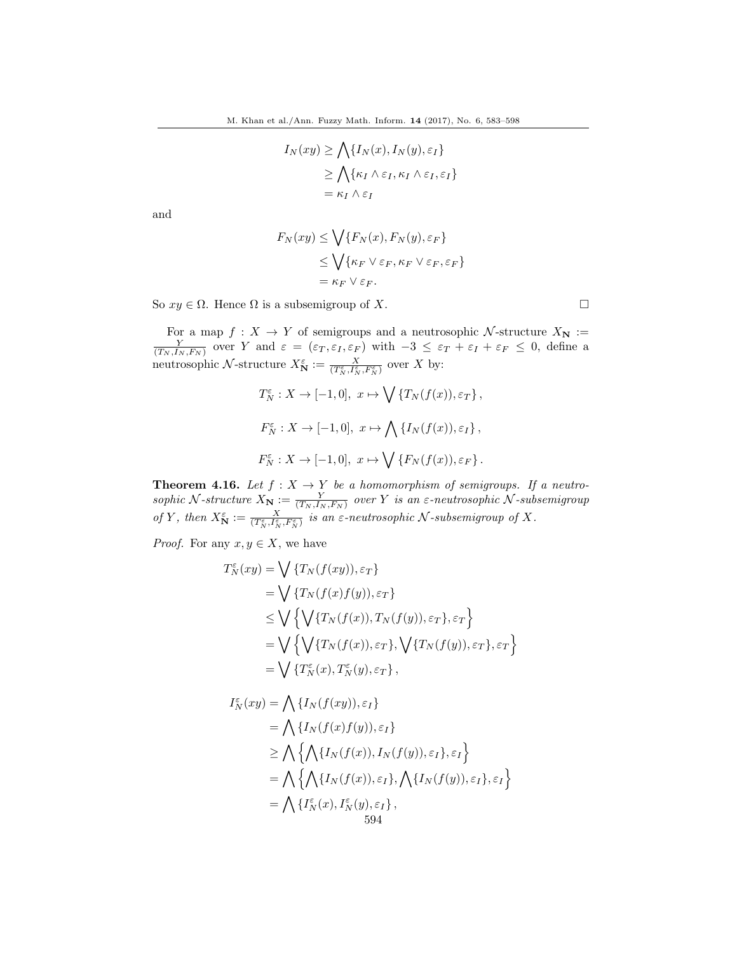$$
I_N(xy) \ge \bigwedge \{I_N(x), I_N(y), \varepsilon_I\}
$$
  
\n
$$
\ge \bigwedge \{\kappa_I \wedge \varepsilon_I, \kappa_I \wedge \varepsilon_I, \varepsilon_I\}
$$
  
\n
$$
= \kappa_I \wedge \varepsilon_I
$$

$$
F_N(xy) \le \bigvee \{ F_N(x), F_N(y), \varepsilon_F \}
$$
  
 
$$
\le \bigvee \{ \kappa_F \vee \varepsilon_F, \kappa_F \vee \varepsilon_F, \varepsilon_F \}
$$
  
=  $\kappa_F \vee \varepsilon_F$ .

So  $xy \in \Omega$ . Hence  $\Omega$  is a subsemigroup of X.

For a map  $f: X \to Y$  of semigroups and a neutrosophic N-structure  $X_{\mathbf{N}} := \frac{Y}{(T_N, I_N, F_N)}$  over Y and  $\varepsilon = (\varepsilon_T, \varepsilon_I, \varepsilon_F)$  with  $-3 \leq \varepsilon_T + \varepsilon_I + \varepsilon_F \leq 0$ , define a neutrosophic N-structure  $X_N^{\varepsilon} := \frac{X}{(T_N^{\varepsilon}, I_N^{\varepsilon}, F_N^{\varepsilon})}$  over X by:

$$
T_N^{\varepsilon}: X \to [-1, 0], \ x \mapsto \bigvee \{T_N(f(x)), \varepsilon_T\},
$$
  

$$
F_N^{\varepsilon}: X \to [-1, 0], \ x \mapsto \bigwedge \{I_N(f(x)), \varepsilon_I\},
$$
  

$$
F_N^{\varepsilon}: X \to [-1, 0], \ x \mapsto \bigvee \{F_N(f(x)), \varepsilon_F\}.
$$

**Theorem 4.16.** Let  $f: X \to Y$  be a homomorphism of semigroups. If a neutrosophic N-structure  $X_N := \frac{Y}{(T_N, I_N, F_N)}$  over Y is an  $\varepsilon$ -neutrosophic N-subsemigroup of Y, then  $X^{\varepsilon}_{\mathbf{N}} := \frac{X}{(T^{\varepsilon}_{N},F^{\varepsilon}_{N},F^{\varepsilon}_{N})}$  is an  $\varepsilon$ -neutrosophic N-subsemigroup of X.

*Proof.* For any  $x, y \in X$ , we have

$$
T_N^{\varepsilon}(xy) = \bigvee \{T_N(f(xy)), \varepsilon_T\}
$$
  
=  $\bigvee \{T_N(f(x)f(y)), \varepsilon_T\}$   
 $\leq \bigvee \{\bigvee \{T_N(f(x)), T_N(f(y)), \varepsilon_T\}, \varepsilon_T\}$   
=  $\bigvee \{\bigvee \{T_N(f(x)), \varepsilon_T\}, \bigvee \{T_N(f(y)), \varepsilon_T\}, \varepsilon_T\}$   
=  $\bigvee \{T_N^{\varepsilon}(x), T_N^{\varepsilon}(y), \varepsilon_T\},$ 

$$
I_N^{\varepsilon}(xy) = \bigwedge \{I_N(f(xy)), \varepsilon_I\}
$$
  
=  $\bigwedge \{I_N(f(x)f(y)), \varepsilon_I\}$   

$$
\geq \bigwedge \{\bigwedge \{I_N(f(x)), I_N(f(y)), \varepsilon_I\}, \varepsilon_I\}
$$
  
=  $\bigwedge \{\bigwedge \{I_N(f(x)), \varepsilon_I\}, \bigwedge \{I_N(f(y)), \varepsilon_I\}, \varepsilon_I\}$   
=  $\bigwedge \{I_N^{\varepsilon}(x), I_N^{\varepsilon}(y), \varepsilon_I\},$   
594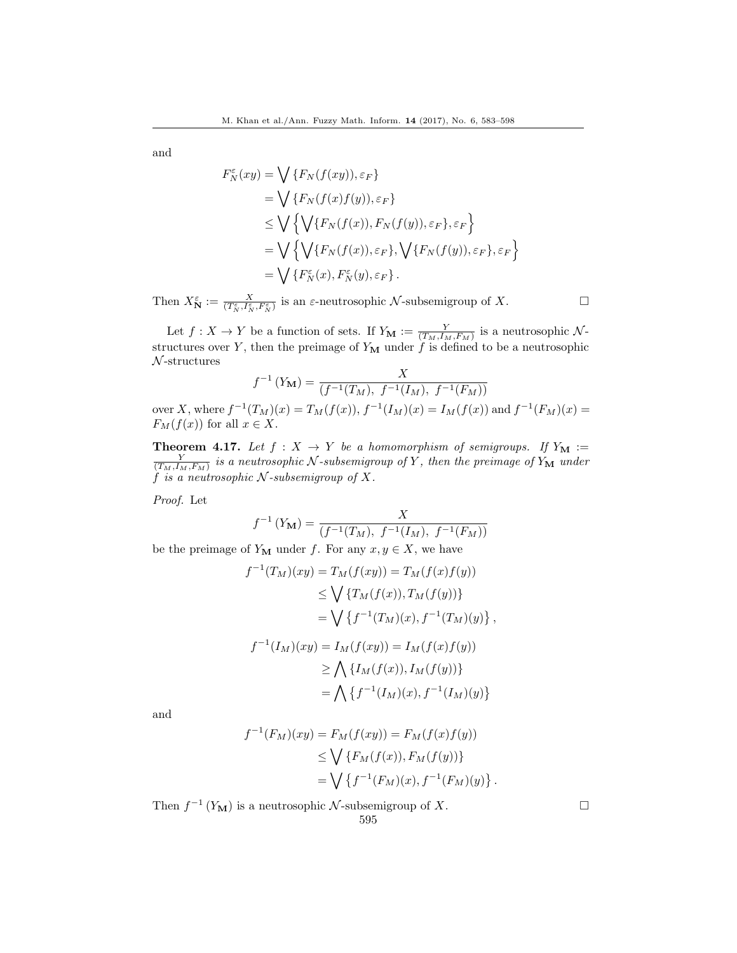$$
F_N^{\varepsilon}(xy) = \bigvee \{F_N(f(xy)), \varepsilon_F\}
$$
  
= 
$$
\bigvee \{F_N(f(x)f(y)), \varepsilon_F\}
$$
  

$$
\leq \bigvee \{\bigvee \{F_N(f(x)), F_N(f(y)), \varepsilon_F\}, \varepsilon_F\}
$$
  
= 
$$
\bigvee \{\bigvee \{F_N(f(x)), \varepsilon_F\}, \bigvee \{F_N(f(y)), \varepsilon_F\}, \varepsilon_F\}
$$
  
= 
$$
\bigvee \{F_N^{\varepsilon}(x), F_N^{\varepsilon}(y), \varepsilon_F\}.
$$

Then  $X_N^{\varepsilon} := \frac{X}{(T_N^{\varepsilon}, I_N^{\varepsilon}, F_N^{\varepsilon})}$  is an  $\varepsilon$ -neutrosophic  $\mathcal N$ -subsemigroup of X.

Let  $f: X \to Y$  be a function of sets. If  $Y_{\mathbf{M}} := \frac{Y}{(T_M, I_M, F_M)}$  is a neutrosophic  $\mathcal{N}$ structures over Y, then the preimage of  $Y_M$  under  $\hat{f}$  is defined to be a neutrosophic  $\mathcal{N}$ -structures

$$
f^{-1}(Y_M) = \frac{X}{(f^{-1}(T_M), f^{-1}(I_M), f^{-1}(F_M))}
$$

over X, where  $f^{-1}(T_M)(x) = T_M(f(x)), f^{-1}(I_M)(x) = I_M(f(x))$  and  $f^{-1}(F_M)(x) =$  $F_M(f(x))$  for all  $x \in X$ .

**Theorem 4.17.** Let  $f : X \to Y$  be a homomorphism of semigroups. If  $Y_M := \frac{Y}{(T_M, I_M, F_M)}$  is a neutrosophic N-subsemigroup of Y, then the preimage of  $Y_M$  under  $f$  is a neutrosophic N-subsemigroup of X.

Proof. Let

$$
f^{-1}(Y_{\mathbf{M}}) = \frac{X}{(f^{-1}(T_M), f^{-1}(I_M), f^{-1}(F_M))}
$$

be the preimage of  $Y_M$  under f. For any  $x, y \in X$ , we have

$$
f^{-1}(T_M)(xy) = T_M(f(xy)) = T_M(f(x)f(y))
$$
  
\n
$$
\leq \bigvee \{T_M(f(x)), T_M(f(y))\}
$$
  
\n
$$
= \bigvee \{f^{-1}(T_M)(x), f^{-1}(T_M)(y)\},
$$
  
\n
$$
f^{-1}(I_M)(xy) = I_M(f(xy)) = I_M(f(x)f(y))
$$
  
\n
$$
\geq \bigwedge \{I_M(f(x)), I_M(f(y))\}
$$
  
\n
$$
= \bigwedge \{f^{-1}(I_M)(x), f^{-1}(I_M)(y)\}
$$

and

$$
f^{-1}(F_M)(xy) = F_M(f(xy)) = F_M(f(x)f(y))
$$
  
\n
$$
\leq \bigvee \{F_M(f(x)), F_M(f(y))\}
$$
  
\n
$$
= \bigvee \{f^{-1}(F_M)(x), f^{-1}(F_M)(y)\}.
$$

Then  $f^{-1}(Y_M)$  is a neutrosophic N-subsemigroup of X.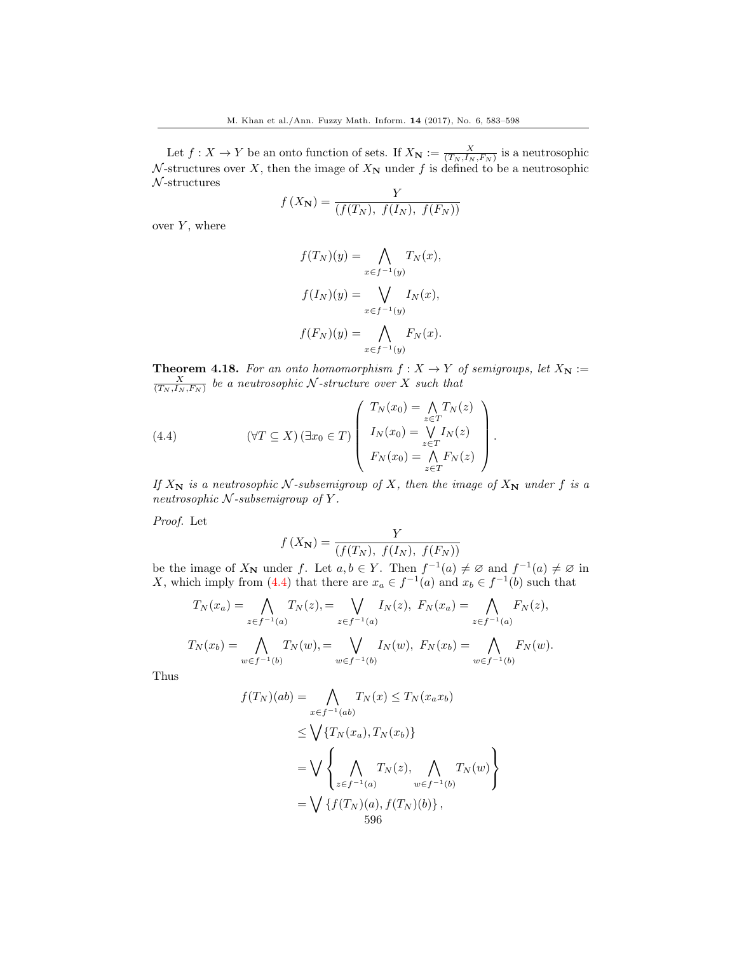Let  $f: X \to Y$  be an onto function of sets. If  $X_{\mathbf{N}} := \frac{X}{(T_N, I_N, F_N)}$  is a neutrosophic N-structures over X, then the image of  $X_N$  under f is defined to be a neutrosophic  $\mathcal{N}$ -structures

$$
f(X_{\mathbf{N}}) = \frac{Y}{(f(T_N), f(I_N), f(F_N))}
$$

over  $Y$ , where

$$
f(T_N)(y) = \bigwedge_{x \in f^{-1}(y)} T_N(x),
$$

$$
f(I_N)(y) = \bigvee_{x \in f^{-1}(y)} I_N(x),
$$

$$
f(F_N)(y) = \bigwedge_{x \in f^{-1}(y)} F_N(x).
$$

**Theorem 4.18.** For an onto homomorphism  $f : X \to Y$  of semigroups, let  $X_N :=$  $\frac{X}{(T_N, I_N, F_N)}$  be a neutrosophic N-structure over X such that

<span id="page-14-0"></span>(4.4) 
$$
(\forall T \subseteq X) (\exists x_0 \in T) \begin{pmatrix} T_N(x_0) = \bigwedge_{z \in T} T_N(z) \\ I_N(x_0) = \bigvee_{z \in T} I_N(z) \\ F_N(x_0) = \bigwedge_{z \in T} F_N(z) \end{pmatrix}.
$$

If  $X_N$  is a neutrosophic N-subsemigroup of X, then the image of  $X_N$  under f is a neutrosophic  $N$ -subsemigroup of Y.

Proof. Let

$$
f(X_{\mathbf{N}}) = \frac{Y}{(f(T_N), f(I_N), f(F_N))}
$$

be the image of  $X_N$  under f. Let  $a, b \in Y$ . Then  $f^{-1}(a) \neq \emptyset$  and  $f^{-1}(a) \neq \emptyset$  in X, which imply from [\(4.4\)](#page-14-0) that there are  $x_a \in f^{-1}(a)$  and  $x_b \in f^{-1}(b)$  such that

$$
T_N(x_a) = \bigwedge_{z \in f^{-1}(a)} T_N(z), = \bigvee_{z \in f^{-1}(a)} I_N(z), \ F_N(x_a) = \bigwedge_{z \in f^{-1}(a)} F_N(z),
$$
  

$$
T_N(x_b) = \bigwedge_{w \in f^{-1}(b)} T_N(w), = \bigvee_{w \in f^{-1}(b)} I_N(w), \ F_N(x_b) = \bigwedge_{w \in f^{-1}(b)} F_N(w).
$$

Thus

$$
f(T_N)(ab) = \bigwedge_{x \in f^{-1}(ab)} T_N(x) \le T_N(x_a x_b)
$$
  
\n
$$
\le \bigvee \{T_N(x_a), T_N(x_b)\}
$$
  
\n
$$
= \bigvee \left\{ \bigwedge_{z \in f^{-1}(a)} T_N(z), \bigwedge_{w \in f^{-1}(b)} T_N(w) \right\}
$$
  
\n
$$
= \bigvee \{f(T_N)(a), f(T_N)(b)\},
$$
  
\n596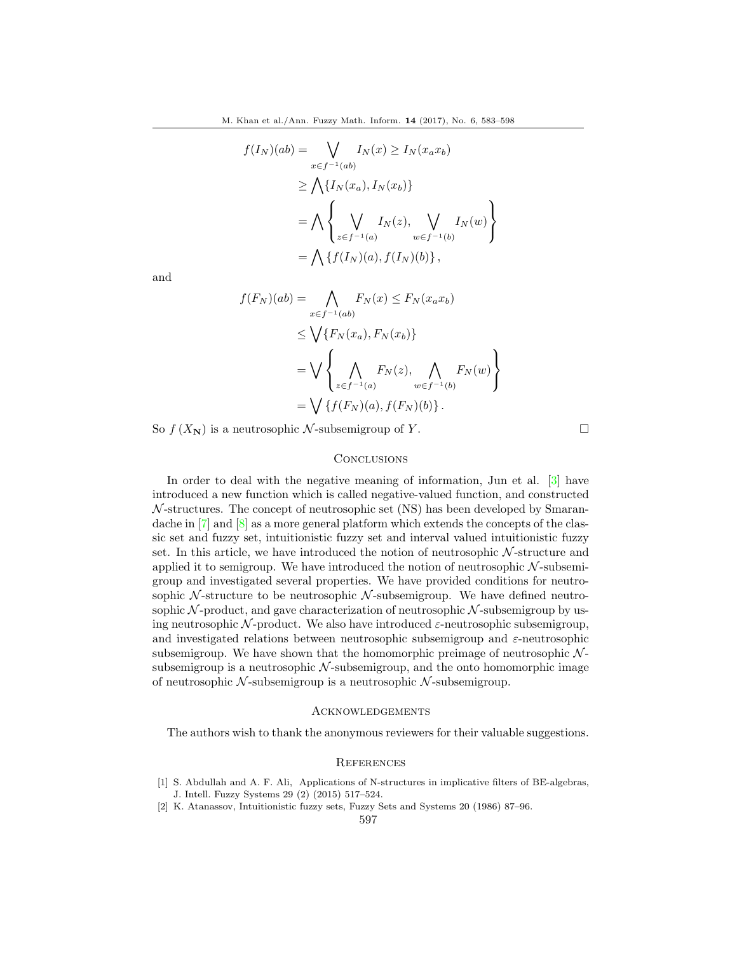$$
f(I_N)(ab) = \bigvee_{x \in f^{-1}(ab)} I_N(x) \ge I_N(x_a x_b)
$$
  
\n
$$
\ge \bigwedge \{I_N(x_a), I_N(x_b)\}
$$
  
\n
$$
= \bigwedge \left\{ \bigvee_{z \in f^{-1}(a)} I_N(z), \bigvee_{w \in f^{-1}(b)} I_N(w) \right\}
$$
  
\n
$$
= \bigwedge \{f(I_N)(a), f(I_N)(b)\},
$$

$$
f(F_N)(ab) = \bigwedge_{x \in f^{-1}(ab)} F_N(x) \le F_N(x_a x_b)
$$
  
\n
$$
\le \bigvee \{F_N(x_a), F_N(x_b)\}
$$
  
\n
$$
= \bigvee \left\{ \bigwedge_{z \in f^{-1}(a)} F_N(z), \bigwedge_{w \in f^{-1}(b)} F_N(w) \right\}
$$
  
\n
$$
= \bigvee \{f(F_N)(a), f(F_N)(b)\}.
$$

So  $f(X_N)$  is a neutrosophic N-subsemigroup of Y.

## **CONCLUSIONS**

In order to deal with the negative meaning of information, Jun et al. [\[3\]](#page-16-3) have introduced a new function which is called negative-valued function, and constructed  $N$ -structures. The concept of neutrosophic set (NS) has been developed by Smarandache in  $[7]$  and  $[8]$  as a more general platform which extends the concepts of the classic set and fuzzy set, intuitionistic fuzzy set and interval valued intuitionistic fuzzy set. In this article, we have introduced the notion of neutrosophic  $N$ -structure and applied it to semigroup. We have introduced the notion of neutrosophic  $N$ -subsemigroup and investigated several properties. We have provided conditions for neutrosophic  $N$ -structure to be neutrosophic  $N$ -subsemigroup. We have defined neutrosophic  $N$ -product, and gave characterization of neutrosophic  $N$ -subsemigroup by using neutrosophic N-product. We also have introduced  $\varepsilon$ -neutrosophic subsemigroup, and investigated relations between neutrosophic subsemigroup and  $\varepsilon$ -neutrosophic subsemigroup. We have shown that the homomorphic preimage of neutrosophic  $\mathcal{N}$ subsemigroup is a neutrosophic  $N$ -subsemigroup, and the onto homomorphic image of neutrosophic  $\mathcal N$ -subsemigroup is a neutrosophic  $\mathcal N$ -subsemigroup.

#### Acknowledgements

The authors wish to thank the anonymous reviewers for their valuable suggestions.

## **REFERENCES**

- <span id="page-15-1"></span>[1] S. Abdullah and A. F. Ali, Applications of N-structures in implicative filters of BE-algebras, J. Intell. Fuzzy Systems 29 (2) (2015) 517–524.
- <span id="page-15-0"></span>[2] K. Atanassov, Intuitionistic fuzzy sets, Fuzzy Sets and Systems 20 (1986) 87–96.

597